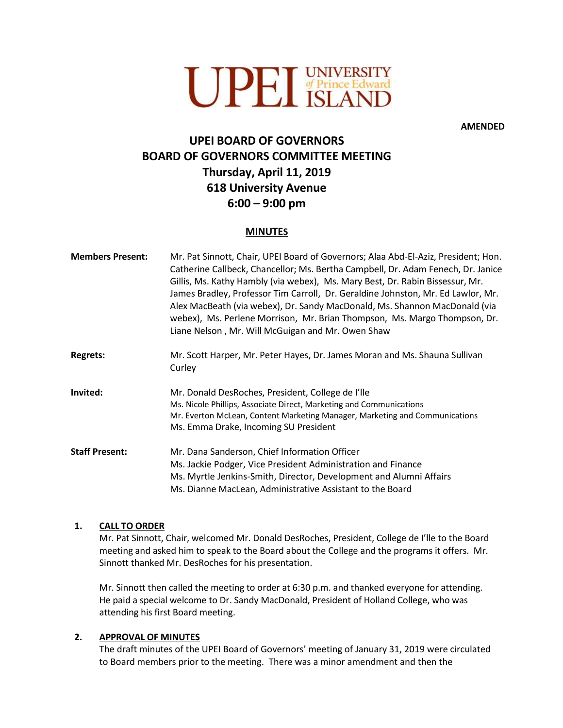

**AMENDED**

# **UPEI BOARD OF GOVERNORS BOARD OF GOVERNORS COMMITTEE MEETING Thursday, April 11, 2019 618 University Avenue 6:00 – 9:00 pm**

# **MINUTES**

| <b>Members Present:</b> | Mr. Pat Sinnott, Chair, UPEI Board of Governors; Alaa Abd-El-Aziz, President; Hon.<br>Catherine Callbeck, Chancellor; Ms. Bertha Campbell, Dr. Adam Fenech, Dr. Janice<br>Gillis, Ms. Kathy Hambly (via webex), Ms. Mary Best, Dr. Rabin Bissessur, Mr.<br>James Bradley, Professor Tim Carroll, Dr. Geraldine Johnston, Mr. Ed Lawlor, Mr.<br>Alex MacBeath (via webex), Dr. Sandy MacDonald, Ms. Shannon MacDonald (via<br>webex), Ms. Perlene Morrison, Mr. Brian Thompson, Ms. Margo Thompson, Dr.<br>Liane Nelson, Mr. Will McGuigan and Mr. Owen Shaw |
|-------------------------|-------------------------------------------------------------------------------------------------------------------------------------------------------------------------------------------------------------------------------------------------------------------------------------------------------------------------------------------------------------------------------------------------------------------------------------------------------------------------------------------------------------------------------------------------------------|
| <b>Regrets:</b>         | Mr. Scott Harper, Mr. Peter Hayes, Dr. James Moran and Ms. Shauna Sullivan<br>Curley                                                                                                                                                                                                                                                                                                                                                                                                                                                                        |
| Invited:                | Mr. Donald DesRoches, President, College de l'Ile<br>Ms. Nicole Phillips, Associate Direct, Marketing and Communications<br>Mr. Everton McLean, Content Marketing Manager, Marketing and Communications<br>Ms. Emma Drake, Incoming SU President                                                                                                                                                                                                                                                                                                            |
| <b>Staff Present:</b>   | Mr. Dana Sanderson, Chief Information Officer<br>Ms. Jackie Podger, Vice President Administration and Finance<br>Ms. Myrtle Jenkins-Smith, Director, Development and Alumni Affairs<br>Ms. Dianne MacLean, Administrative Assistant to the Board                                                                                                                                                                                                                                                                                                            |

## **1. CALL TO ORDER**

Mr. Pat Sinnott, Chair, welcomed Mr. Donald DesRoches, President, College de I'lle to the Board meeting and asked him to speak to the Board about the College and the programs it offers. Mr. Sinnott thanked Mr. DesRoches for his presentation.

Mr. Sinnott then called the meeting to order at 6:30 p.m. and thanked everyone for attending. He paid a special welcome to Dr. Sandy MacDonald, President of Holland College, who was attending his first Board meeting.

## **2. APPROVAL OF MINUTES**

The draft minutes of the UPEI Board of Governors' meeting of January 31, 2019 were circulated to Board members prior to the meeting. There was a minor amendment and then the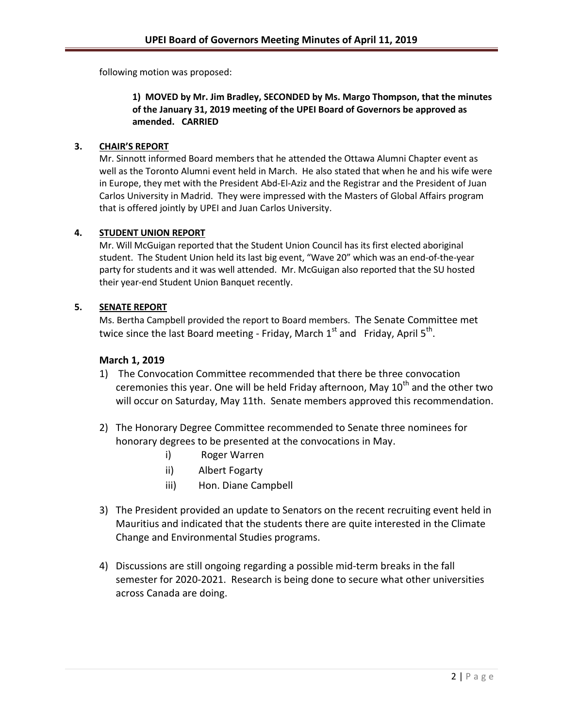following motion was proposed:

# **1) MOVED by Mr. Jim Bradley, SECONDED by Ms. Margo Thompson, that the minutes of the January 31, 2019 meeting of the UPEI Board of Governors be approved as amended. CARRIED**

# **3. CHAIR'S REPORT**

Mr. Sinnott informed Board members that he attended the Ottawa Alumni Chapter event as well as the Toronto Alumni event held in March. He also stated that when he and his wife were in Europe, they met with the President Abd-El-Aziz and the Registrar and the President of Juan Carlos University in Madrid. They were impressed with the Masters of Global Affairs program that is offered jointly by UPEI and Juan Carlos University.

# **4. STUDENT UNION REPORT**

Mr. Will McGuigan reported that the Student Union Council has its first elected aboriginal student. The Student Union held its last big event, "Wave 20" which was an end-of-the-year party for students and it was well attended. Mr. McGuigan also reported that the SU hosted their year-end Student Union Banquet recently.

# **5. SENATE REPORT**

Ms. Bertha Campbell provided the report to Board members. The Senate Committee met twice since the last Board meeting - Friday, March  $1^{\text{st}}$  and Friday, April  $5^{\text{th}}$ .

# **March 1, 2019**

- 1) The Convocation Committee recommended that there be three convocation ceremonies this year. One will be held Friday afternoon, May  $10^{th}$  and the other two will occur on Saturday, May 11th. Senate members approved this recommendation.
- 2) The Honorary Degree Committee recommended to Senate three nominees for honorary degrees to be presented at the convocations in May.
	- i) Roger Warren
	- ii) Albert Fogarty
	- iii) Hon. Diane Campbell
- 3) The President provided an update to Senators on the recent recruiting event held in Mauritius and indicated that the students there are quite interested in the Climate Change and Environmental Studies programs.
- 4) Discussions are still ongoing regarding a possible mid-term breaks in the fall semester for 2020-2021. Research is being done to secure what other universities across Canada are doing.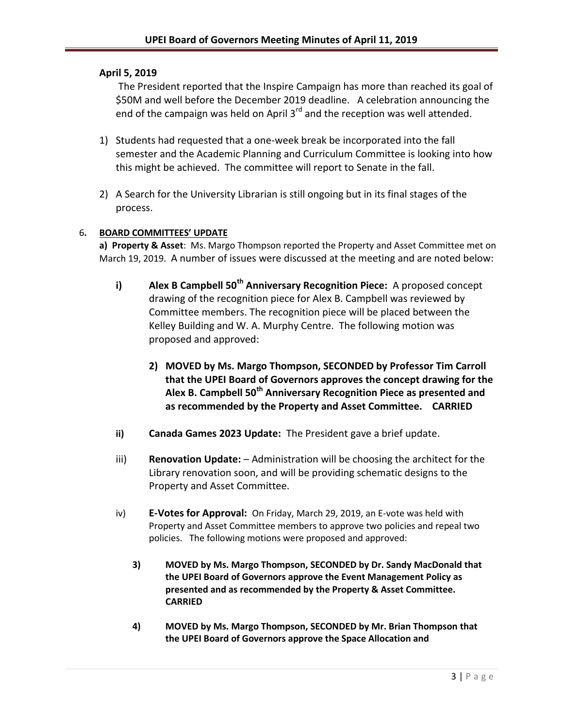# **April 5, 2019**

The President reported that the Inspire Campaign has more than reached its goal of \$50M and well before the December 2019 deadline. A celebration announcing the end of the campaign was held on April 3<sup>rd</sup> and the reception was well attended.

- 1) Students had requested that a one-week break be incorporated into the fall semester and the Academic Planning and Curriculum Committee is looking into how this might be achieved. The committee will report to Senate in the fall.
- 2) A Search for the University Librarian is still ongoing but in its final stages of the process.

## 6**. BOARD COMMITTEES' UPDATE**

**a) Property & Asset**: Ms. Margo Thompson reported the Property and Asset Committee met on March 19, 2019. A number of issues were discussed at the meeting and are noted below:

- **i) Alex B Campbell 50th Anniversary Recognition Piece:** A proposed concept drawing of the recognition piece for Alex B. Campbell was reviewed by Committee members. The recognition piece will be placed between the Kelley Building and W. A. Murphy Centre. The following motion was proposed and approved:
	- **2) MOVED by Ms. Margo Thompson, SECONDED by Professor Tim Carroll that the UPEI Board of Governors approves the concept drawing for the Alex B. Campbell 50th Anniversary Recognition Piece as presented and as recommended by the Property and Asset Committee. CARRIED**
- **ii) Canada Games 2023 Update:** The President gave a brief update.
- iii) **Renovation Update:** Administration will be choosing the architect for the Library renovation soon, and will be providing schematic designs to the Property and Asset Committee.
- iv) **E-Votes for Approval:** On Friday, March 29, 2019, an E-vote was held with Property and Asset Committee members to approve two policies and repeal two policies. The following motions were proposed and approved:
	- **3) MOVED by Ms. Margo Thompson, SECONDED by Dr. Sandy MacDonald that the UPEI Board of Governors approve the Event Management Policy as presented and as recommended by the Property & Asset Committee. CARRIED**
	- **4) MOVED by Ms. Margo Thompson, SECONDED by Mr. Brian Thompson that the UPEI Board of Governors approve the Space Allocation and**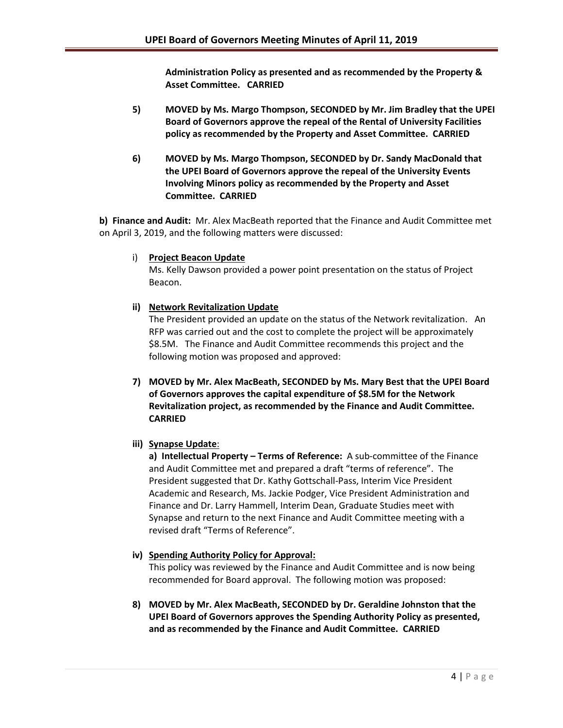**Administration Policy as presented and as recommended by the Property & Asset Committee. CARRIED**

- **5) MOVED by Ms. Margo Thompson, SECONDED by Mr. Jim Bradley that the UPEI Board of Governors approve the repeal of the Rental of University Facilities policy as recommended by the Property and Asset Committee. CARRIED**
- **6) MOVED by Ms. Margo Thompson, SECONDED by Dr. Sandy MacDonald that the UPEI Board of Governors approve the repeal of the University Events Involving Minors policy as recommended by the Property and Asset Committee. CARRIED**

**b) Finance and Audit:** Mr. Alex MacBeath reported that the Finance and Audit Committee met on April 3, 2019, and the following matters were discussed:

i) **Project Beacon Update**

Ms. Kelly Dawson provided a power point presentation on the status of Project Beacon.

# **ii) Network Revitalization Update**

The President provided an update on the status of the Network revitalization. An RFP was carried out and the cost to complete the project will be approximately \$8.5M. The Finance and Audit Committee recommends this project and the following motion was proposed and approved:

**7) MOVED by Mr. Alex MacBeath, SECONDED by Ms. Mary Best that the UPEI Board of Governors approves the capital expenditure of \$8.5M for the Network Revitalization project, as recommended by the Finance and Audit Committee. CARRIED**

# **iii) Synapse Update**:

**a) Intellectual Property – Terms of Reference:** A sub-committee of the Finance and Audit Committee met and prepared a draft "terms of reference". The President suggested that Dr. Kathy Gottschall-Pass, Interim Vice President Academic and Research, Ms. Jackie Podger, Vice President Administration and Finance and Dr. Larry Hammell, Interim Dean, Graduate Studies meet with Synapse and return to the next Finance and Audit Committee meeting with a revised draft "Terms of Reference".

# **iv) Spending Authority Policy for Approval:**

This policy was reviewed by the Finance and Audit Committee and is now being recommended for Board approval. The following motion was proposed:

**8) MOVED by Mr. Alex MacBeath, SECONDED by Dr. Geraldine Johnston that the UPEI Board of Governors approves the Spending Authority Policy as presented, and as recommended by the Finance and Audit Committee. CARRIED**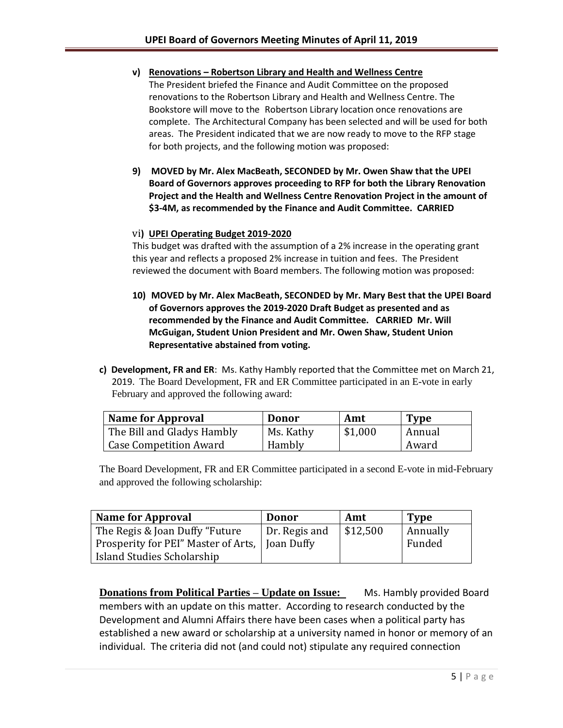- **v) Renovations – Robertson Library and Health and Wellness Centre** The President briefed the Finance and Audit Committee on the proposed renovations to the Robertson Library and Health and Wellness Centre. The Bookstore will move to the Robertson Library location once renovations are complete. The Architectural Company has been selected and will be used for both areas. The President indicated that we are now ready to move to the RFP stage for both projects, and the following motion was proposed:
- **9) MOVED by Mr. Alex MacBeath, SECONDED by Mr. Owen Shaw that the UPEI Board of Governors approves proceeding to RFP for both the Library Renovation Project and the Health and Wellness Centre Renovation Project in the amount of \$3-4M, as recommended by the Finance and Audit Committee. CARRIED**

## vi**) UPEI Operating Budget 2019-2020**

This budget was drafted with the assumption of a 2% increase in the operating grant this year and reflects a proposed 2% increase in tuition and fees. The President reviewed the document with Board members. The following motion was proposed:

- **10) MOVED by Mr. Alex MacBeath, SECONDED by Mr. Mary Best that the UPEI Board of Governors approves the 2019-2020 Draft Budget as presented and as recommended by the Finance and Audit Committee. CARRIED Mr. Will McGuigan, Student Union President and Mr. Owen Shaw, Student Union Representative abstained from voting.**
- **c) Development, FR and ER**: Ms. Kathy Hambly reported that the Committee met on March 21, 2019. The Board Development, FR and ER Committee participated in an E-vote in early February and approved the following award:

| <b>Name for Approval</b>      | Donor     | Amt     | <b>Type</b> |
|-------------------------------|-----------|---------|-------------|
| The Bill and Gladys Hambly    | Ms. Kathy | \$1,000 | Annual      |
| <b>Case Competition Award</b> | Hambly    |         | Award       |

The Board Development, FR and ER Committee participated in a second E-vote in mid-February and approved the following scholarship:

| <b>Name for Approval</b>                         | Donor         | Amt      | <b>Type</b>     |
|--------------------------------------------------|---------------|----------|-----------------|
| The Regis & Joan Duffy "Future"                  | Dr. Regis and | \$12,500 | <b>Annually</b> |
| Prosperity for PEI" Master of Arts,   Joan Duffy |               |          | Funded          |
| Island Studies Scholarship                       |               |          |                 |

**Donations from Political Parties – Update on Issue:** Ms. Hambly provided Board members with an update on this matter. According to research conducted by the Development and Alumni Affairs there have been cases when a political party has established a new award or scholarship at a university named in honor or memory of an individual. The criteria did not (and could not) stipulate any required connection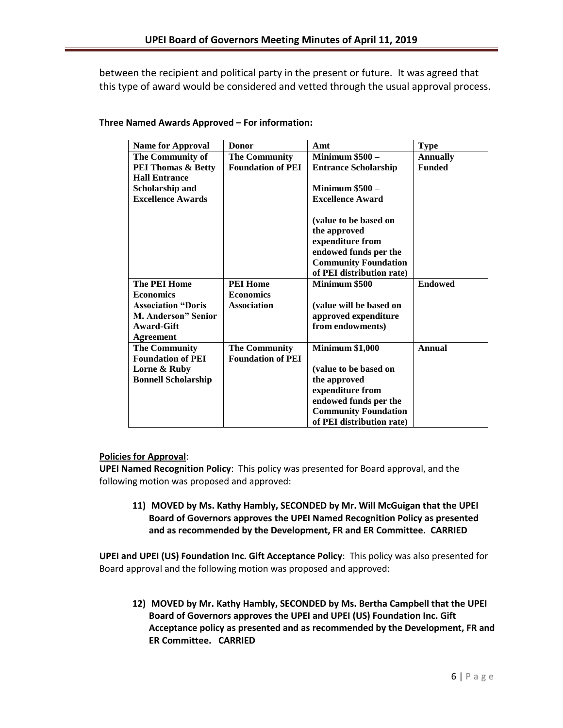between the recipient and political party in the present or future. It was agreed that this type of award would be considered and vetted through the usual approval process.

| <b>Name for Approval</b>      | <b>Donor</b>             | Amt                         | <b>Type</b>     |
|-------------------------------|--------------------------|-----------------------------|-----------------|
| The Community of              | <b>The Community</b>     | <b>Minimum \$500 -</b>      | <b>Annually</b> |
| <b>PEI Thomas &amp; Betty</b> | <b>Foundation of PEI</b> | <b>Entrance Scholarship</b> | <b>Funded</b>   |
| <b>Hall Entrance</b>          |                          |                             |                 |
| Scholarship and               |                          | <b>Minimum \$500 -</b>      |                 |
| <b>Excellence Awards</b>      |                          | <b>Excellence Award</b>     |                 |
|                               |                          |                             |                 |
|                               |                          | (value to be based on       |                 |
|                               |                          | the approved                |                 |
|                               |                          | expenditure from            |                 |
|                               |                          | endowed funds per the       |                 |
|                               |                          | <b>Community Foundation</b> |                 |
|                               |                          | of PEI distribution rate)   |                 |
| <b>The PEI Home</b>           | <b>PEI Home</b>          | Minimum \$500               | <b>Endowed</b>  |
| <b>Economics</b>              | <b>Economics</b>         |                             |                 |
| <b>Association "Doris</b>     | <b>Association</b>       | (value will be based on     |                 |
| M. Anderson" Senior           |                          | approved expenditure        |                 |
| Award-Gift                    |                          | from endowments)            |                 |
| <b>Agreement</b>              |                          |                             |                 |
| <b>The Community</b>          | <b>The Community</b>     | <b>Minimum \$1,000</b>      | Annual          |
| <b>Foundation of PEI</b>      | <b>Foundation of PEI</b> |                             |                 |
| Lorne & Ruby                  |                          | (value to be based on       |                 |
| <b>Bonnell Scholarship</b>    |                          | the approved                |                 |
|                               |                          | expenditure from            |                 |
|                               |                          | endowed funds per the       |                 |
|                               |                          | <b>Community Foundation</b> |                 |
|                               |                          | of PEI distribution rate)   |                 |

## **Three Named Awards Approved – For information:**

## **Policies for Approval**:

**UPEI Named Recognition Policy**: This policy was presented for Board approval, and the following motion was proposed and approved:

**11) MOVED by Ms. Kathy Hambly, SECONDED by Mr. Will McGuigan that the UPEI Board of Governors approves the UPEI Named Recognition Policy as presented and as recommended by the Development, FR and ER Committee. CARRIED**

**UPEI and UPEI (US) Foundation Inc. Gift Acceptance Policy**: This policy was also presented for Board approval and the following motion was proposed and approved:

**12) MOVED by Mr. Kathy Hambly, SECONDED by Ms. Bertha Campbell that the UPEI Board of Governors approves the UPEI and UPEI (US) Foundation Inc. Gift Acceptance policy as presented and as recommended by the Development, FR and ER Committee. CARRIED**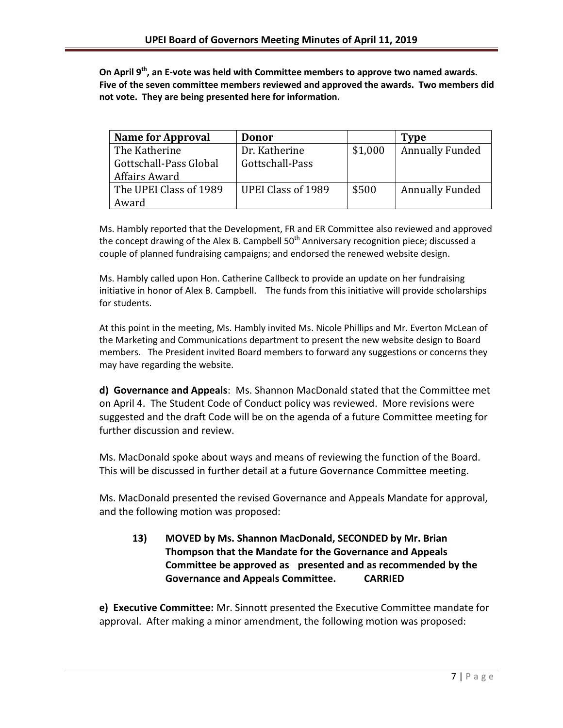**On April 9th, an E-vote was held with Committee members to approve two named awards. Five of the seven committee members reviewed and approved the awards. Two members did not vote. They are being presented here for information.**

| <b>Name for Approval</b> | <b>Donor</b>              |         | <b>Type</b>            |
|--------------------------|---------------------------|---------|------------------------|
| The Katherine            | Dr. Katherine             | \$1,000 | <b>Annually Funded</b> |
| Gottschall-Pass Global   | Gottschall-Pass           |         |                        |
| Affairs Award            |                           |         |                        |
| The UPEI Class of 1989   | <b>UPEI Class of 1989</b> | \$500   | <b>Annually Funded</b> |
| Award                    |                           |         |                        |

Ms. Hambly reported that the Development, FR and ER Committee also reviewed and approved the concept drawing of the Alex B. Campbell 50<sup>th</sup> Anniversary recognition piece; discussed a couple of planned fundraising campaigns; and endorsed the renewed website design.

Ms. Hambly called upon Hon. Catherine Callbeck to provide an update on her fundraising initiative in honor of Alex B. Campbell. The funds from this initiative will provide scholarships for students.

At this point in the meeting, Ms. Hambly invited Ms. Nicole Phillips and Mr. Everton McLean of the Marketing and Communications department to present the new website design to Board members. The President invited Board members to forward any suggestions or concerns they may have regarding the website.

**d) Governance and Appeals**: Ms. Shannon MacDonald stated that the Committee met on April 4. The Student Code of Conduct policy was reviewed. More revisions were suggested and the draft Code will be on the agenda of a future Committee meeting for further discussion and review.

Ms. MacDonald spoke about ways and means of reviewing the function of the Board. This will be discussed in further detail at a future Governance Committee meeting.

Ms. MacDonald presented the revised Governance and Appeals Mandate for approval, and the following motion was proposed:

**13) MOVED by Ms. Shannon MacDonald, SECONDED by Mr. Brian Thompson that the Mandate for the Governance and Appeals Committee be approved as presented and as recommended by the Governance and Appeals Committee. CARRIED**

**e) Executive Committee:** Mr. Sinnott presented the Executive Committee mandate for approval. After making a minor amendment, the following motion was proposed: